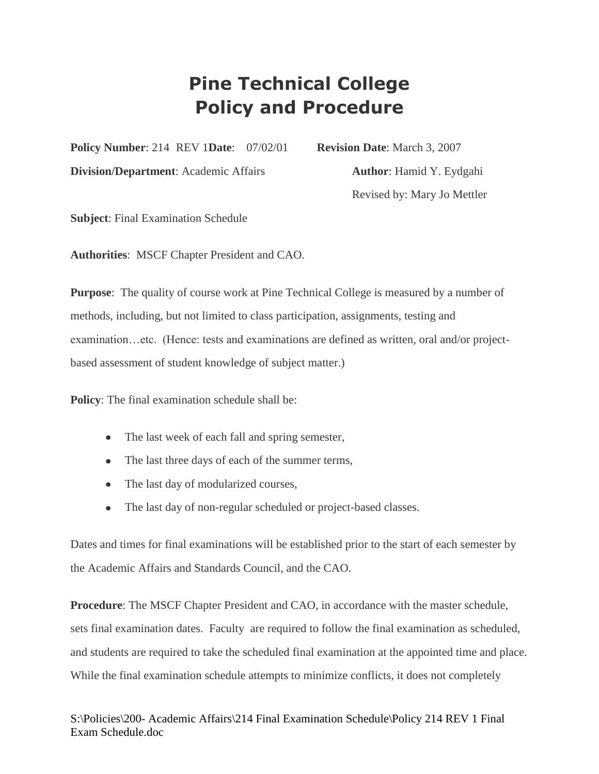## **Pine Technical College Policy and Procedure**

**Policy Number**: 214 REV 1**Date**: 07/02/01 **Revision Date**: March 3, 2007

**Division/Department**: Academic Affairs **Author**: Hamid Y. Eydgahi

Revised by: Mary Jo Mettler

**Subject**: Final Examination Schedule

**Authorities**: MSCF Chapter President and CAO.

**Purpose**: The quality of course work at Pine Technical College is measured by a number of methods, including, but not limited to class participation, assignments, testing and examination…etc. (Hence: tests and examinations are defined as written, oral and/or projectbased assessment of student knowledge of subject matter.)

**Policy:** The final examination schedule shall be:

- The last week of each fall and spring semester,
- The last three days of each of the summer terms,
- The last day of modularized courses,
- The last day of non-regular scheduled or project-based classes.

Dates and times for final examinations will be established prior to the start of each semester by the Academic Affairs and Standards Council, and the CAO.

**Procedure**: The MSCF Chapter President and CAO, in accordance with the master schedule, sets final examination dates. Faculty are required to follow the final examination as scheduled, and students are required to take the scheduled final examination at the appointed time and place. While the final examination schedule attempts to minimize conflicts, it does not completely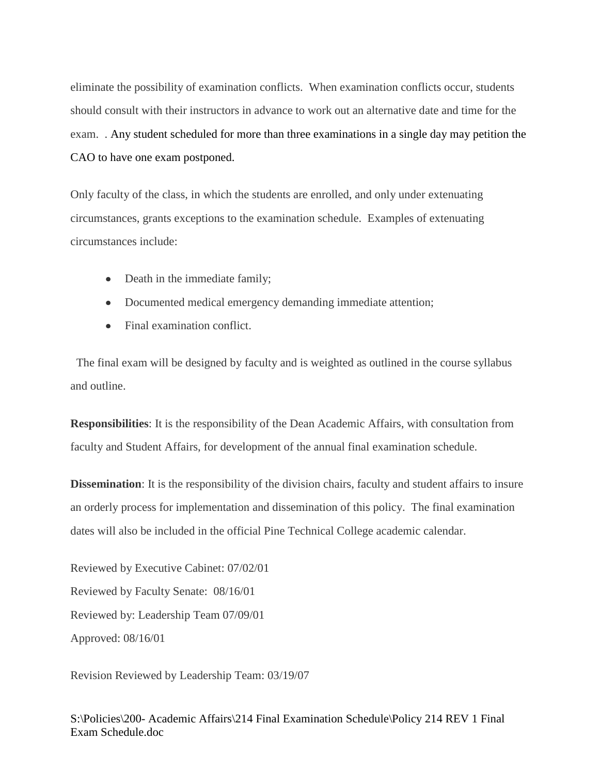eliminate the possibility of examination conflicts. When examination conflicts occur, students should consult with their instructors in advance to work out an alternative date and time for the exam. . Any student scheduled for more than three examinations in a single day may petition the CAO to have one exam postponed.

Only faculty of the class, in which the students are enrolled, and only under extenuating circumstances, grants exceptions to the examination schedule. Examples of extenuating circumstances include:

- Death in the immediate family;
- Documented medical emergency demanding immediate attention;
- Final examination conflict.

The final exam will be designed by faculty and is weighted as outlined in the course syllabus and outline.

**Responsibilities**: It is the responsibility of the Dean Academic Affairs, with consultation from faculty and Student Affairs, for development of the annual final examination schedule.

**Dissemination**: It is the responsibility of the division chairs, faculty and student affairs to insure an orderly process for implementation and dissemination of this policy. The final examination dates will also be included in the official Pine Technical College academic calendar.

Reviewed by Executive Cabinet: 07/02/01 Reviewed by Faculty Senate: 08/16/01 Reviewed by: Leadership Team 07/09/01 Approved: 08/16/01

Revision Reviewed by Leadership Team: 03/19/07